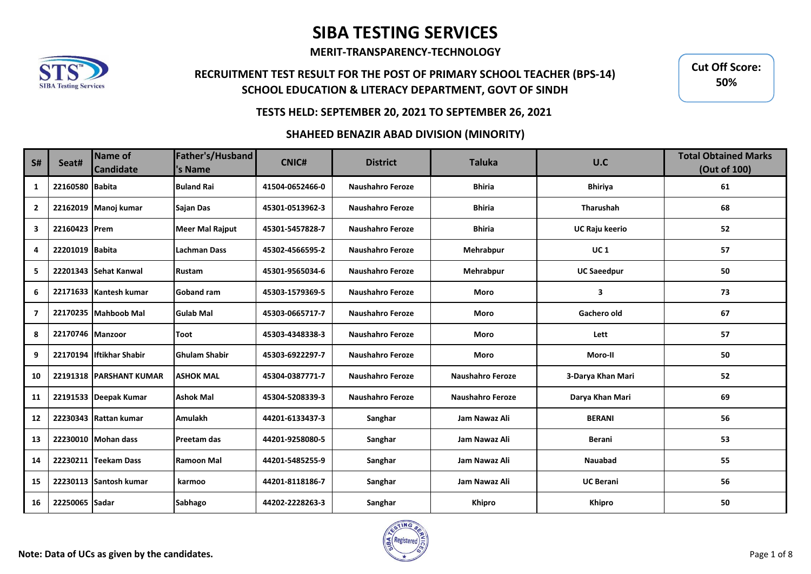**MERIT-TRANSPARENCY-TECHNOLOGY**

## **RECRUITMENT TEST RESULT FOR THE POST OF PRIMARY SCHOOL TEACHER (BPS-14) SCHOOL EDUCATION & LITERACY DEPARTMENT, GOVT OF SINDH**

**Cut Off Score: 55%Cut Off Score: 50%55%**

### **TESTS HELD: SEPTEMBER 20, 2021 TO SEPTEMBER 26, 2021**

#### **SHAHEED BENAZIR ABAD DIVISION (MINORITY)**

| <b>S#</b>      | Seat#            | Name of<br><b>Candidate</b> | Father's/Husband<br>'s Name | <b>CNIC#</b>    | <b>District</b>         | <b>Taluka</b>           | U.C                | <b>Total Obtained Marks</b><br>(Out of 100) |
|----------------|------------------|-----------------------------|-----------------------------|-----------------|-------------------------|-------------------------|--------------------|---------------------------------------------|
| 1              | 22160580 Babita  |                             | <b>Buland Rai</b>           | 41504-0652466-0 | <b>Naushahro Feroze</b> | <b>Bhiria</b>           | <b>Bhiriya</b>     | 61                                          |
| $\overline{2}$ |                  | 22162019 Manoj kumar        | Sajan Das                   | 45301-0513962-3 | <b>Naushahro Feroze</b> | <b>Bhiria</b>           | Tharushah          | 68                                          |
| 3              | 22160423 Prem    |                             | <b>Meer Mal Rajput</b>      | 45301-5457828-7 | <b>Naushahro Feroze</b> | <b>Bhiria</b>           | UC Raju keerio     | 52                                          |
| 4              | 22201019 Babita  |                             | <b>Lachman Dass</b>         | 45302-4566595-2 | <b>Naushahro Feroze</b> | Mehrabpur               | <b>UC1</b>         | 57                                          |
| 5              |                  | 22201343 Sehat Kanwal       | Rustam                      | 45301-9565034-6 | <b>Naushahro Feroze</b> | <b>Mehrabpur</b>        | <b>UC Saeedpur</b> | 50                                          |
| 6              |                  | 22171633 Kantesh kumar      | <b>Goband ram</b>           | 45303-1579369-5 | <b>Naushahro Feroze</b> | Moro                    | 3                  | 73                                          |
| $\overline{7}$ |                  | 22170235 Mahboob Mal        | <b>Gulab Mal</b>            | 45303-0665717-7 | <b>Naushahro Feroze</b> | Moro                    | Gachero old        | 67                                          |
| 8              | 22170746 Manzoor |                             | Toot                        | 45303-4348338-3 | <b>Naushahro Feroze</b> | Moro                    | Lett               | 57                                          |
| 9              |                  | 22170194 Iftikhar Shabir    | <b>Ghulam Shabir</b>        | 45303-6922297-7 | <b>Naushahro Feroze</b> | Moro                    | Moro-II            | 50                                          |
| 10             |                  | 22191318 PARSHANT KUMAR     | <b>ASHOK MAL</b>            | 45304-0387771-7 | <b>Naushahro Feroze</b> | <b>Naushahro Feroze</b> | 3-Darya Khan Mari  | 52                                          |
| 11             |                  | 22191533 Deepak Kumar       | <b>Ashok Mal</b>            | 45304-5208339-3 | <b>Naushahro Feroze</b> | <b>Naushahro Feroze</b> | Darya Khan Mari    | 69                                          |
| 12             |                  | 22230343 Rattan kumar       | <b>Amulakh</b>              | 44201-6133437-3 | Sanghar                 | Jam Nawaz Ali           | <b>BERANI</b>      | 56                                          |
| 13             |                  | 22230010 Mohan dass         | <b>Preetam das</b>          | 44201-9258080-5 | Sanghar                 | Jam Nawaz Ali           | <b>Berani</b>      | 53                                          |
| 14             |                  | 22230211 Teekam Dass        | <b>Ramoon Mal</b>           | 44201-5485255-9 | Sanghar                 | Jam Nawaz Ali           | <b>Nauabad</b>     | 55                                          |
| 15             |                  | 22230113 Santosh kumar      | karmoo                      | 44201-8118186-7 | Sanghar                 | Jam Nawaz Ali           | <b>UC Berani</b>   | 56                                          |
| 16             | 22250065 Sadar   |                             | <b>Sabhago</b>              | 44202-2228263-3 | Sanghar                 | Khipro                  | <b>Khipro</b>      | 50                                          |

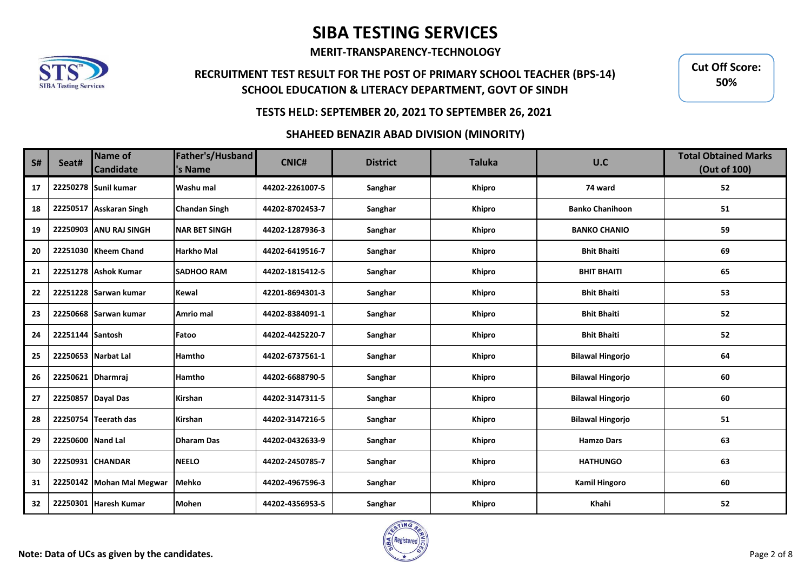**MERIT-TRANSPARENCY-TECHNOLOGY**

## **RECRUITMENT TEST RESULT FOR THE POST OF PRIMARY SCHOOL TEACHER (BPS-14) SCHOOL EDUCATION & LITERACY DEPARTMENT, GOVT OF SINDH**

**Cut Off Score: 55%Cut Off Score: 50%55%**

### **TESTS HELD: SEPTEMBER 20, 2021 TO SEPTEMBER 26, 2021**

#### **SHAHEED BENAZIR ABAD DIVISION (MINORITY)**

| <b>S#</b> | Seat#             | Name of<br><b>Candidate</b> | Father's/Husband<br>'s Name | <b>CNIC#</b>    | <b>District</b> | <b>Taluka</b> | U.C                     | <b>Total Obtained Marks</b><br>(Out of 100) |
|-----------|-------------------|-----------------------------|-----------------------------|-----------------|-----------------|---------------|-------------------------|---------------------------------------------|
| 17        |                   | 22250278 Sunil kumar        | Washu mal                   | 44202-2261007-5 | Sanghar         | Khipro        | 74 ward                 | 52                                          |
| 18        |                   | 22250517 Asskaran Singh     | <b>Chandan Singh</b>        | 44202-8702453-7 | Sanghar         | <b>Khipro</b> | <b>Banko Chanihoon</b>  | 51                                          |
| 19        |                   | 22250903 ANU RAJ SINGH      | <b>NAR BET SINGH</b>        | 44202-1287936-3 | Sanghar         | Khipro        | <b>BANKO CHANIO</b>     | 59                                          |
| 20        |                   | 22251030 Kheem Chand        | <b>Harkho Mal</b>           | 44202-6419516-7 | Sanghar         | Khipro        | <b>Bhit Bhaiti</b>      | 69                                          |
| 21        |                   | 22251278 Ashok Kumar        | <b>SADHOO RAM</b>           | 44202-1815412-5 | Sanghar         | Khipro        | <b>BHIT BHAITI</b>      | 65                                          |
| 22        |                   | 22251228 Sarwan kumar       | <b>Kewal</b>                | 42201-8694301-3 | Sanghar         | <b>Khipro</b> | <b>Bhit Bhaiti</b>      | 53                                          |
| 23        |                   | 22250668 Sarwan kumar       | Amrio mal                   | 44202-8384091-1 | Sanghar         | <b>Khipro</b> | <b>Bhit Bhaiti</b>      | 52                                          |
| 24        | 22251144 Santosh  |                             | Fatoo                       | 44202-4425220-7 | Sanghar         | Khipro        | <b>Bhit Bhaiti</b>      | 52                                          |
| 25        |                   | 22250653 Narbat Lal         | <b>Hamtho</b>               | 44202-6737561-1 | Sanghar         | Khipro        | <b>Bilawal Hingorjo</b> | 64                                          |
| 26        | 22250621 Dharmraj |                             | Hamtho                      | 44202-6688790-5 | Sanghar         | Khipro        | <b>Bilawal Hingorjo</b> | 60                                          |
| 27        |                   | 22250857 Dayal Das          | Kirshan                     | 44202-3147311-5 | Sanghar         | Khipro        | <b>Bilawal Hingorjo</b> | 60                                          |
| 28        |                   | 22250754 Teerath das        | Kirshan                     | 44202-3147216-5 | Sanghar         | Khipro        | <b>Bilawal Hingorjo</b> | 51                                          |
| 29        | 22250600 Nand Lal |                             | <b>Dharam Das</b>           | 44202-0432633-9 | Sanghar         | <b>Khipro</b> | <b>Hamzo Dars</b>       | 63                                          |
| 30        |                   | 22250931 CHANDAR            | <b>NEELO</b>                | 44202-2450785-7 | Sanghar         | <b>Khipro</b> | <b>HATHUNGO</b>         | 63                                          |
| 31        |                   | 22250142 Mohan Mal Megwar   | <b>Mehko</b>                | 44202-4967596-3 | Sanghar         | Khipro        | <b>Kamil Hingoro</b>    | 60                                          |
| 32        |                   | 22250301 Haresh Kumar       | <b>Mohen</b>                | 44202-4356953-5 | Sanghar         | Khipro        | Khahi                   | 52                                          |

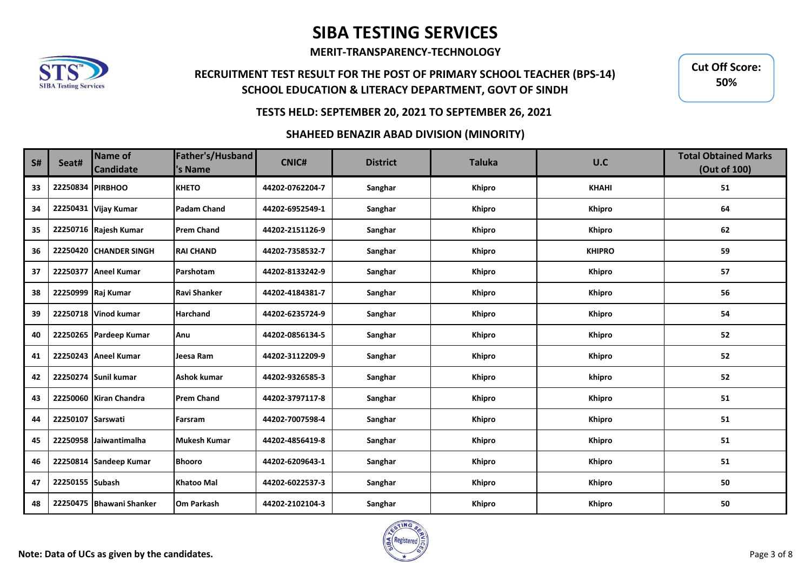**MERIT-TRANSPARENCY-TECHNOLOGY**

## **RECRUITMENT TEST RESULT FOR THE POST OF PRIMARY SCHOOL TEACHER (BPS-14) SCHOOL EDUCATION & LITERACY DEPARTMENT, GOVT OF SINDH**

**Cut Off Score: 55%Cut Off Score: 50%55%**

### **TESTS HELD: SEPTEMBER 20, 2021 TO SEPTEMBER 26, 2021**

#### **SHAHEED BENAZIR ABAD DIVISION (MINORITY)**

| <b>S#</b> | Seat#             | Name of<br><b>Candidate</b> | Father's/Husband<br>'s Name | <b>CNIC#</b>    | <b>District</b> | <b>Taluka</b> | U.C           | <b>Total Obtained Marks</b><br>(Out of 100) |
|-----------|-------------------|-----------------------------|-----------------------------|-----------------|-----------------|---------------|---------------|---------------------------------------------|
| 33        | 22250834 PIRBHOO  |                             | <b>KHETO</b>                | 44202-0762204-7 | Sanghar         | Khipro        | <b>KHAHI</b>  | 51                                          |
| 34        |                   | 22250431 Vijay Kumar        | <b>Padam Chand</b>          | 44202-6952549-1 | Sanghar         | <b>Khipro</b> | <b>Khipro</b> | 64                                          |
| 35        |                   | 22250716 Rajesh Kumar       | <b>Prem Chand</b>           | 44202-2151126-9 | Sanghar         | <b>Khipro</b> | <b>Khipro</b> | 62                                          |
| 36        |                   | 22250420 CHANDER SINGH      | <b>RAI CHAND</b>            | 44202-7358532-7 | Sanghar         | Khipro        | <b>KHIPRO</b> | 59                                          |
| 37        |                   | 22250377 Aneel Kumar        | Parshotam                   | 44202-8133242-9 | Sanghar         | <b>Khipro</b> | <b>Khipro</b> | 57                                          |
| 38        |                   | 22250999 Raj Kumar          | <b>Ravi Shanker</b>         | 44202-4184381-7 | Sanghar         | Khipro        | <b>Khipro</b> | 56                                          |
| 39        |                   | 22250718 Vinod kumar        | <b>Harchand</b>             | 44202-6235724-9 | Sanghar         | Khipro        | <b>Khipro</b> | 54                                          |
| 40        |                   | 22250265 Pardeep Kumar      | Anu                         | 44202-0856134-5 | Sanghar         | <b>Khipro</b> | <b>Khipro</b> | 52                                          |
| 41        |                   | 22250243 Aneel Kumar        | Jeesa Ram                   | 44202-3112209-9 | Sanghar         | <b>Khipro</b> | <b>Khipro</b> | 52                                          |
| 42        |                   | 22250274 Sunil kumar        | <b>Ashok kumar</b>          | 44202-9326585-3 | Sanghar         | Khipro        | khipro        | 52                                          |
| 43        |                   | 22250060 Kiran Chandra      | <b>Prem Chand</b>           | 44202-3797117-8 | Sanghar         | Khipro        | <b>Khipro</b> | 51                                          |
| 44        | 22250107 Sarswati |                             | Farsram                     | 44202-7007598-4 | Sanghar         | Khipro        | Khipro        | 51                                          |
| 45        |                   | 22250958 Jaiwantimalha      | <b>Mukesh Kumar</b>         | 44202-4856419-8 | Sanghar         | <b>Khipro</b> | Khipro        | 51                                          |
| 46        |                   | 22250814 Sandeep Kumar      | <b>Bhooro</b>               | 44202-6209643-1 | Sanghar         | <b>Khipro</b> | <b>Khipro</b> | 51                                          |
| 47        | 22250155 Subash   |                             | <b>Khatoo Mal</b>           | 44202-6022537-3 | Sanghar         | Khipro        | Khipro        | 50                                          |
| 48        |                   | 22250475 Bhawani Shanker    | <b>Om Parkash</b>           | 44202-2102104-3 | Sanghar         | Khipro        | <b>Khipro</b> | 50                                          |

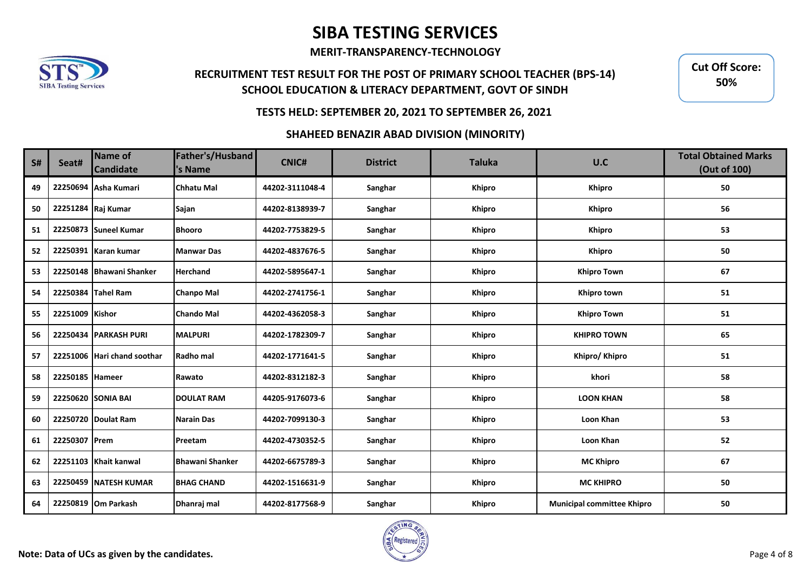**MERIT-TRANSPARENCY-TECHNOLOGY**

## **RECRUITMENT TEST RESULT FOR THE POST OF PRIMARY SCHOOL TEACHER (BPS-14) SCHOOL EDUCATION & LITERACY DEPARTMENT, GOVT OF SINDH**

**Cut Off Score: 55%Cut Off Score: 50%55%**

### **TESTS HELD: SEPTEMBER 20, 2021 TO SEPTEMBER 26, 2021**

#### **SHAHEED BENAZIR ABAD DIVISION (MINORITY)**

| <b>S#</b> | Seat#           | Name of<br><b>Candidate</b> | Father's/Husband<br>'s Name | <b>CNIC#</b>    | <b>District</b> | <b>Taluka</b> | U.C                               | <b>Total Obtained Marks</b><br>(Out of 100) |
|-----------|-----------------|-----------------------------|-----------------------------|-----------------|-----------------|---------------|-----------------------------------|---------------------------------------------|
| 49        |                 | 22250694 Asha Kumari        | <b>Chhatu Mal</b>           | 44202-3111048-4 | Sanghar         | <b>Khipro</b> | Khipro                            | 50                                          |
| 50        |                 | 22251284 Raj Kumar          | Sajan                       | 44202-8138939-7 | Sanghar         | <b>Khipro</b> | <b>Khipro</b>                     | 56                                          |
| 51        |                 | 22250873 Suneel Kumar       | <b>Bhooro</b>               | 44202-7753829-5 | Sanghar         | <b>Khipro</b> | Khipro                            | 53                                          |
| 52        |                 | 22250391 Karan kumar        | <b>Manwar Das</b>           | 44202-4837676-5 | Sanghar         | Khipro        | <b>Khipro</b>                     | 50                                          |
| 53        |                 | 22250148   Bhawani Shanker  | <b>Herchand</b>             | 44202-5895647-1 | Sanghar         | Khipro        | <b>Khipro Town</b>                | 67                                          |
| 54        |                 | 22250384 Tahel Ram          | <b>Chanpo Mal</b>           | 44202-2741756-1 | Sanghar         | <b>Khipro</b> | Khipro town                       | 51                                          |
| 55        | 22251009 Kishor |                             | <b>Chando Mal</b>           | 44202-4362058-3 | Sanghar         | <b>Khipro</b> | <b>Khipro Town</b>                | 51                                          |
| 56        |                 | 22250434 PARKASH PURI       | <b>MALPURI</b>              | 44202-1782309-7 | Sanghar         | <b>Khipro</b> | <b>KHIPRO TOWN</b>                | 65                                          |
| 57        |                 | 22251006 Hari chand soothar | Radho mal                   | 44202-1771641-5 | Sanghar         | <b>Khipro</b> | Khipro/ Khipro                    | 51                                          |
| 58        | 22250185 Hameer |                             | Rawato                      | 44202-8312182-3 | Sanghar         | <b>Khipro</b> | khori                             | 58                                          |
| 59        |                 | 22250620 SONIA BAI          | <b>DOULAT RAM</b>           | 44205-9176073-6 | Sanghar         | Khipro        | <b>LOON KHAN</b>                  | 58                                          |
| 60        |                 | 22250720 Doulat Ram         | <b>Narain Das</b>           | 44202-7099130-3 | Sanghar         | Khipro        | Loon Khan                         | 53                                          |
| 61        | 22250307 Prem   |                             | Preetam                     | 44202-4730352-5 | Sanghar         | <b>Khipro</b> | Loon Khan                         | 52                                          |
| 62        |                 | 22251103 Khait kanwal       | <b>Bhawani Shanker</b>      | 44202-6675789-3 | Sanghar         | Khipro        | <b>MC Khipro</b>                  | 67                                          |
| 63        |                 | 22250459 NATESH KUMAR       | <b>BHAG CHAND</b>           | 44202-1516631-9 | Sanghar         | Khipro        | <b>MC KHIPRO</b>                  | 50                                          |
| 64        |                 | 22250819 Om Parkash         | Dhanraj mal                 | 44202-8177568-9 | Sanghar         | <b>Khipro</b> | <b>Municipal committee Khipro</b> | 50                                          |

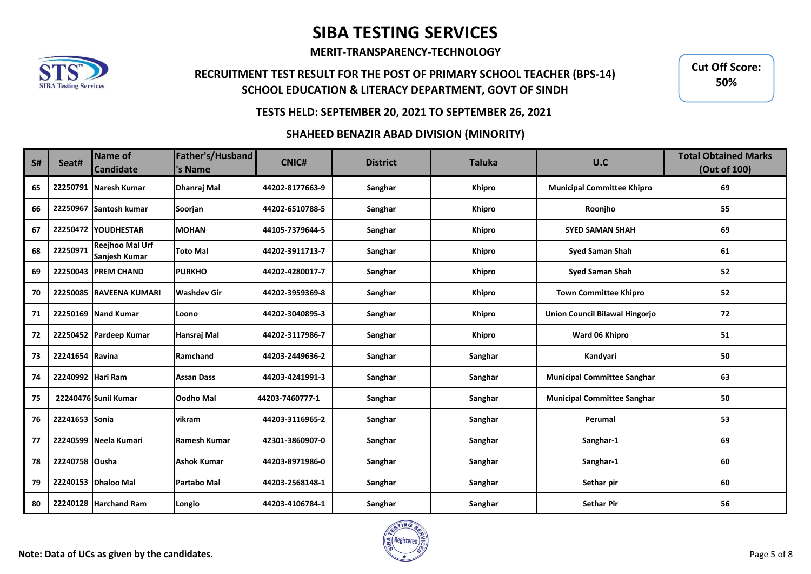**MERIT-TRANSPARENCY-TECHNOLOGY**

## **RECRUITMENT TEST RESULT FOR THE POST OF PRIMARY SCHOOL TEACHER (BPS-14) SCHOOL EDUCATION & LITERACY DEPARTMENT, GOVT OF SINDH**

**Cut Off Score: 55%Cut Off Score: 50%55%**

### **TESTS HELD: SEPTEMBER 20, 2021 TO SEPTEMBER 26, 2021**

#### **SHAHEED BENAZIR ABAD DIVISION (MINORITY)**

| S# | Seat#             | Name of<br><b>Candidate</b>             | Father's/Husband<br>'s Name | <b>CNIC#</b>    | <b>District</b> | <b>Taluka</b> | U.C                                   | <b>Total Obtained Marks</b><br>(Out of 100) |
|----|-------------------|-----------------------------------------|-----------------------------|-----------------|-----------------|---------------|---------------------------------------|---------------------------------------------|
| 65 | 22250791          | Naresh Kumar                            | Dhanraj Mal                 | 44202-8177663-9 | Sanghar         | Khipro        | <b>Municipal Committee Khipro</b>     | 69                                          |
| 66 | 22250967          | Santosh kumar                           | Soorjan                     | 44202-6510788-5 | Sanghar         | <b>Khipro</b> | Roonjho                               | 55                                          |
| 67 |                   | 22250472 YOUDHESTAR                     | <b>MOHAN</b>                | 44105-7379644-5 | Sanghar         | <b>Khipro</b> | <b>SYED SAMAN SHAH</b>                | 69                                          |
| 68 | 22250971          | <b>Reejhoo Mal Urf</b><br>Sanjesh Kumar | <b>Toto Mal</b>             | 44202-3911713-7 | Sanghar         | Khipro        | <b>Syed Saman Shah</b>                | 61                                          |
| 69 |                   | <b>22250043 PREM CHAND</b>              | <b>PURKHO</b>               | 44202-4280017-7 | Sanghar         | <b>Khipro</b> | <b>Syed Saman Shah</b>                | 52                                          |
| 70 |                   | 22250085 RAVEENA KUMARI                 | <b>Washdev Gir</b>          | 44202-3959369-8 | Sanghar         | <b>Khipro</b> | <b>Town Committee Khipro</b>          | 52                                          |
| 71 |                   | 22250169 Nand Kumar                     | Loono                       | 44202-3040895-3 | Sanghar         | <b>Khipro</b> | <b>Union Council Bilawal Hingorjo</b> | 72                                          |
| 72 |                   | 22250452 Pardeep Kumar                  | Hansraj Mal                 | 44202-3117986-7 | Sanghar         | Khipro        | Ward 06 Khipro                        | 51                                          |
| 73 | 22241654 Ravina   |                                         | Ramchand                    | 44203-2449636-2 | Sanghar         | Sanghar       | Kandyari                              | 50                                          |
| 74 | 22240992 Hari Ram |                                         | <b>Assan Dass</b>           | 44203-4241991-3 | Sanghar         | Sanghar       | <b>Municipal Committee Sanghar</b>    | 63                                          |
| 75 |                   | 22240476 Sunil Kumar                    | Oodho Mal                   | 44203-7460777-1 | Sanghar         | Sanghar       | <b>Municipal Committee Sanghar</b>    | 50                                          |
| 76 | 22241653 Sonia    |                                         | vikram                      | 44203-3116965-2 | Sanghar         | Sanghar       | Perumal                               | 53                                          |
| 77 |                   | 22240599 Neela Kumari                   | Ramesh Kumar                | 42301-3860907-0 | Sanghar         | Sanghar       | Sanghar-1                             | 69                                          |
| 78 | 22240758 Ousha    |                                         | <b>Ashok Kumar</b>          | 44203-8971986-0 | Sanghar         | Sanghar       | Sanghar-1                             | 60                                          |
| 79 |                   | 22240153 Dhaloo Mal                     | Partabo Mal                 | 44203-2568148-1 | Sanghar         | Sanghar       | Sethar pir                            | 60                                          |
| 80 |                   | 22240128 Harchand Ram                   | Longio                      | 44203-4106784-1 | Sanghar         | Sanghar       | <b>Sethar Pir</b>                     | 56                                          |

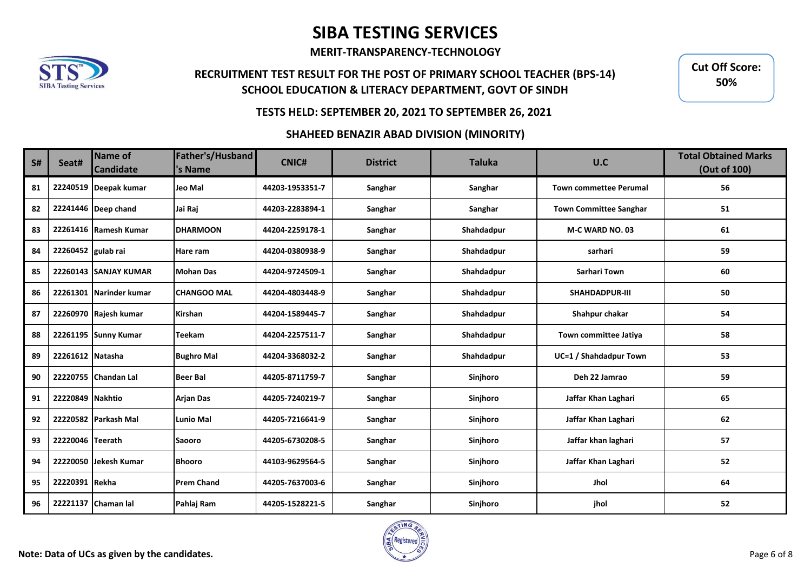**MERIT-TRANSPARENCY-TECHNOLOGY**

## **RECRUITMENT TEST RESULT FOR THE POST OF PRIMARY SCHOOL TEACHER (BPS-14) SCHOOL EDUCATION & LITERACY DEPARTMENT, GOVT OF SINDH**

**Cut Off Score: 55%Cut Off Score: 50%55%**

### **TESTS HELD: SEPTEMBER 20, 2021 TO SEPTEMBER 26, 2021**

#### **SHAHEED BENAZIR ABAD DIVISION (MINORITY)**

| S# | Seat#              | Name of<br><b>Candidate</b> | Father's/Husband<br>'s Name | <b>CNIC#</b>    | <b>District</b> | <b>Taluka</b> | U.C                           | <b>Total Obtained Marks</b><br>(Out of 100) |
|----|--------------------|-----------------------------|-----------------------------|-----------------|-----------------|---------------|-------------------------------|---------------------------------------------|
| 81 |                    | 22240519 Deepak kumar       | Jeo Mal                     | 44203-1953351-7 | Sanghar         | Sanghar       | <b>Town commettee Perumal</b> | 56                                          |
| 82 |                    | 22241446 Deep chand         | Jai Raj                     | 44203-2283894-1 | Sanghar         | Sanghar       | <b>Town Committee Sanghar</b> | 51                                          |
| 83 |                    | 22261416 Ramesh Kumar       | <b>DHARMOON</b>             | 44204-2259178-1 | Sanghar         | Shahdadpur    | M-C WARD NO. 03               | 61                                          |
| 84 | 22260452 gulab rai |                             | Hare ram                    | 44204-0380938-9 | Sanghar         | Shahdadpur    | sarhari                       | 59                                          |
| 85 |                    | 22260143 SANJAY KUMAR       | Mohan Das                   | 44204-9724509-1 | Sanghar         | Shahdadpur    | <b>Sarhari Town</b>           | 60                                          |
| 86 |                    | 22261301 Narinder kumar     | <b>CHANGOO MAL</b>          | 44204-4803448-9 | Sanghar         | Shahdadpur    | <b>SHAHDADPUR-III</b>         | 50                                          |
| 87 |                    | 22260970 Rajesh kumar       | Kirshan                     | 44204-1589445-7 | Sanghar         | Shahdadpur    | Shahpur chakar                | 54                                          |
| 88 |                    | 22261195 Sunny Kumar        | <b>Teekam</b>               | 44204-2257511-7 | Sanghar         | Shahdadpur    | Town committee Jatiya         | 58                                          |
| 89 | 22261612 Natasha   |                             | <b>Bughro Mal</b>           | 44204-3368032-2 | Sanghar         | Shahdadpur    | UC=1 / Shahdadpur Town        | 53                                          |
| 90 |                    | 22220755 Chandan Lal        | <b>Beer Bal</b>             | 44205-8711759-7 | Sanghar         | Sinjhoro      | Deh 22 Jamrao                 | 59                                          |
| 91 | 22220849 Nakhtio   |                             | <b>Arjan Das</b>            | 44205-7240219-7 | Sanghar         | Sinjhoro      | Jaffar Khan Laghari           | 65                                          |
| 92 |                    | 22220582 Parkash Mal        | Lunio Mal                   | 44205-7216641-9 | Sanghar         | Sinjhoro      | Jaffar Khan Laghari           | 62                                          |
| 93 | 22220046 Teerath   |                             | <b>Saooro</b>               | 44205-6730208-5 | Sanghar         | Sinjhoro      | Jaffar khan laghari           | 57                                          |
| 94 |                    | 22220050 Jekesh Kumar       | <b>Bhooro</b>               | 44103-9629564-5 | Sanghar         | Sinjhoro      | Jaffar Khan Laghari           | 52                                          |
| 95 | 22220391 Rekha     |                             | <b>Prem Chand</b>           | 44205-7637003-6 | Sanghar         | Sinjhoro      | Jhol                          | 64                                          |
| 96 |                    | 22221137 Chaman lal         | Pahlaj Ram                  | 44205-1528221-5 | Sanghar         | Sinjhoro      | jhol                          | 52                                          |

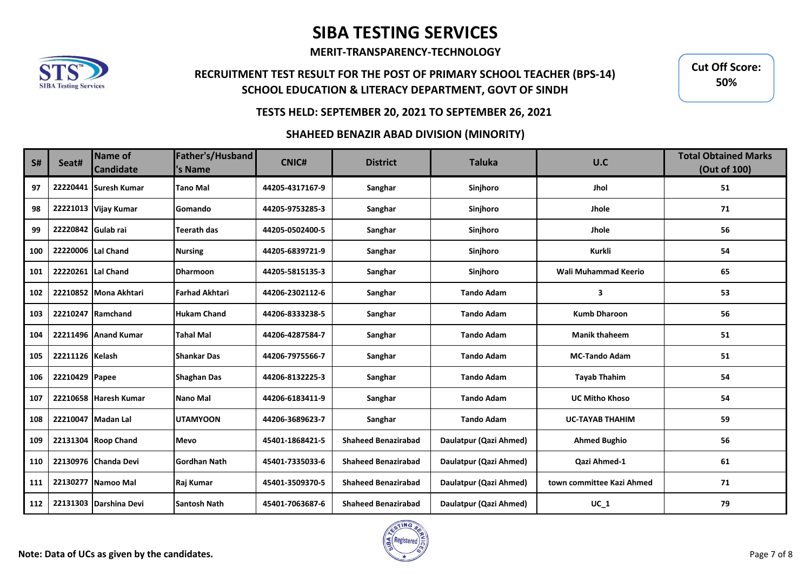**MERIT-TRANSPARENCY-TECHNOLOGY**

## **RECRUITMENT TEST RESULT FOR THE POST OF PRIMARY SCHOOL TEACHER (BPS-14) SCHOOL EDUCATION & LITERACY DEPARTMENT, GOVT OF SINDH**

**Cut Off Score: 55%Cut Off Score: 50%55%**

### **TESTS HELD: SEPTEMBER 20, 2021 TO SEPTEMBER 26, 2021**

#### **SHAHEED BENAZIR ABAD DIVISION (MINORITY)**

| S#  | Seat#              | Name of<br><b>Candidate</b> | Father's/Husband<br>'s Name | <b>CNIC#</b>    | <b>District</b>            | <b>Taluka</b>          | U.C                       | <b>Total Obtained Marks</b><br>(Out of 100) |
|-----|--------------------|-----------------------------|-----------------------------|-----------------|----------------------------|------------------------|---------------------------|---------------------------------------------|
| 97  |                    | 22220441 Suresh Kumar       | <b>Tano Mal</b>             | 44205-4317167-9 | Sanghar                    | Sinjhoro               | Jhol                      | 51                                          |
| 98  |                    | 22221013 Vijay Kumar        | Gomando                     | 44205-9753285-3 | Sanghar                    | Sinjhoro               | Jhole                     | 71                                          |
| 99  | 22220842 Gulab rai |                             | Teerath das                 | 44205-0502400-5 | Sanghar                    | Sinjhoro               | Jhole                     | 56                                          |
| 100 | 22220006 Lal Chand |                             | <b>Nursing</b>              | 44205-6839721-9 | Sanghar                    | Sinjhoro               | Kurkli                    | 54                                          |
| 101 | 22220261 Lal Chand |                             | <b>Dharmoon</b>             | 44205-5815135-3 | Sanghar                    | Sinjhoro               | Wali Muhammad Keerio      | 65                                          |
| 102 |                    | 22210852 Mona Akhtari       | <b>Farhad Akhtari</b>       | 44206-2302112-6 | Sanghar                    | <b>Tando Adam</b>      | 3                         | 53                                          |
| 103 |                    | 22210247 Ramchand           | <b>Hukam Chand</b>          | 44206-8333238-5 | Sanghar                    | <b>Tando Adam</b>      | <b>Kumb Dharoon</b>       | 56                                          |
| 104 |                    | 22211496 Anand Kumar        | <b>Tahal Mal</b>            | 44206-4287584-7 | Sanghar                    | <b>Tando Adam</b>      | <b>Manik thaheem</b>      | 51                                          |
| 105 | 22211126 Kelash    |                             | <b>Shankar Das</b>          | 44206-7975566-7 | Sanghar                    | <b>Tando Adam</b>      | <b>MC-Tando Adam</b>      | 51                                          |
| 106 | 22210429 Papee     |                             | Shaghan Das                 | 44206-8132225-3 | Sanghar                    | <b>Tando Adam</b>      | <b>Tayab Thahim</b>       | 54                                          |
| 107 |                    | 22210658 Haresh Kumar       | <b>Nano Mal</b>             | 44206-6183411-9 | Sanghar                    | <b>Tando Adam</b>      | <b>UC Mitho Khoso</b>     | 54                                          |
| 108 | 22210047           | Madan Lal                   | <b>UTAMYOON</b>             | 44206-3689623-7 | Sanghar                    | <b>Tando Adam</b>      | <b>UC-TAYAB THAHIM</b>    | 59                                          |
| 109 |                    | 22131304 Roop Chand         | <b>Mevo</b>                 | 45401-1868421-5 | <b>Shaheed Benazirabad</b> | Daulatpur (Qazi Ahmed) | <b>Ahmed Bughio</b>       | 56                                          |
| 110 |                    | 22130976 Chanda Devi        | <b>Gordhan Nath</b>         | 45401-7335033-6 | <b>Shaheed Benazirabad</b> | Daulatpur (Qazi Ahmed) | Qazi Ahmed-1              | 61                                          |
| 111 | 22130277           | Namoo Mal                   | Raj Kumar                   | 45401-3509370-5 | <b>Shaheed Benazirabad</b> | Daulatpur (Qazi Ahmed) | town committee Kazi Ahmed | 71                                          |
| 112 |                    | 22131303 Darshina Devi      | <b>Santosh Nath</b>         | 45401-7063687-6 | <b>Shaheed Benazirabad</b> | Daulatpur (Qazi Ahmed) | $UC_1$                    | 79                                          |